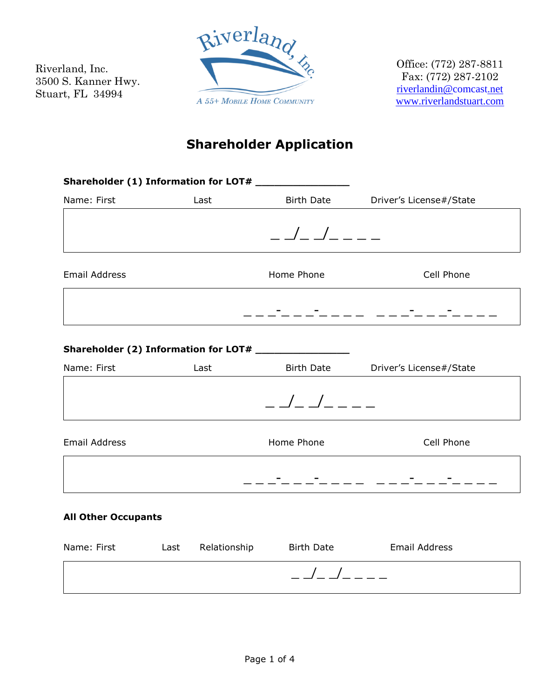Riverland, Inc. 3500 S. Kanner Hwy. Stuart, FL 34994



Office: (772) 287-8811 Fax: (772) 287-2102 [riverlandin@comcast.net](mailto:riverlandin@comcast.net) [www.riverlandstuart.com](http://www.riverlandstuart.com/)

# **Shareholder Application**

|                            |      | Shareholder (1) Information for LOT# ________________ |                         |
|----------------------------|------|-------------------------------------------------------|-------------------------|
| Name: First                | Last | <b>Birth Date</b>                                     | Driver's License#/State |
|                            |      |                                                       |                         |
|                            |      | $       -$                                            |                         |
| <b>Email Address</b>       |      | Home Phone                                            | Cell Phone              |
|                            |      |                                                       |                         |
| Name: First                | Last | Birth Date                                            | Driver's License#/State |
|                            |      |                                                       |                         |
|                            |      | $      -$                                             |                         |
| <b>Email Address</b>       |      | Home Phone                                            | Cell Phone              |
|                            |      |                                                       |                         |
| <b>All Other Occupants</b> |      |                                                       |                         |

| Name: First | Last | Relationship | Birth Date | Email Address |
|-------------|------|--------------|------------|---------------|
|             |      |              |            |               |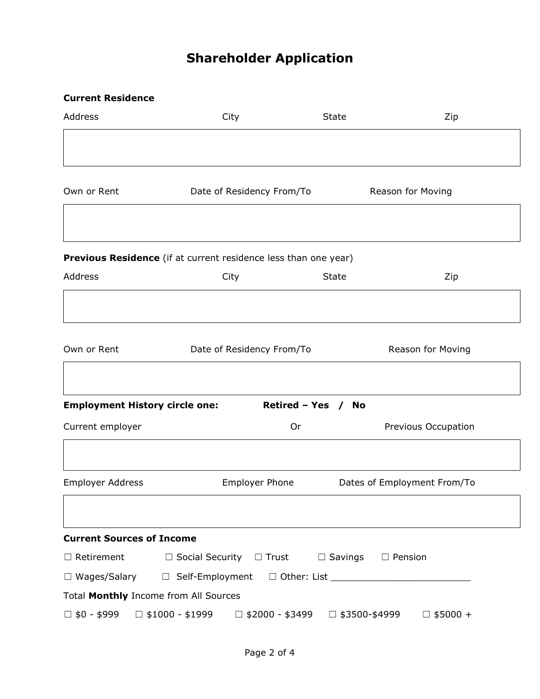# **Shareholder Application**

#### **Current Residence**

| Address                               | City                                                               | <b>State</b> | Zip                         |
|---------------------------------------|--------------------------------------------------------------------|--------------|-----------------------------|
|                                       |                                                                    |              |                             |
| Own or Rent                           | Date of Residency From/To                                          |              | Reason for Moving           |
|                                       |                                                                    |              |                             |
|                                       | Previous Residence (if at current residence less than one year)    |              |                             |
| Address                               | City                                                               | <b>State</b> | Zip                         |
|                                       |                                                                    |              |                             |
| Own or Rent                           | Date of Residency From/To                                          |              | Reason for Moving           |
|                                       |                                                                    |              |                             |
| <b>Employment History circle one:</b> | Retired - Yes / No                                                 |              |                             |
| Current employer                      | Or                                                                 |              | Previous Occupation         |
|                                       |                                                                    |              |                             |
| <b>Employer Address</b>               | <b>Employer Phone</b>                                              |              | Dates of Employment From/To |
|                                       |                                                                    |              |                             |
| <b>Current Sources of Income</b>      |                                                                    |              |                             |
| $\Box$ Retirement                     | $\Box$ Social Security $\Box$ Trust $\Box$ Savings                 |              | $\Box$ Pension              |
| $\Box$ Wages/Salary                   |                                                                    |              |                             |
| Total Monthly Income from All Sources |                                                                    |              |                             |
| $\Box$ \$0 - \$999                    | $\Box$ \$1000 - \$1999 $\Box$ \$2000 - \$3499 $\Box$ \$3500-\$4999 |              | $\Box$ \$5000 +             |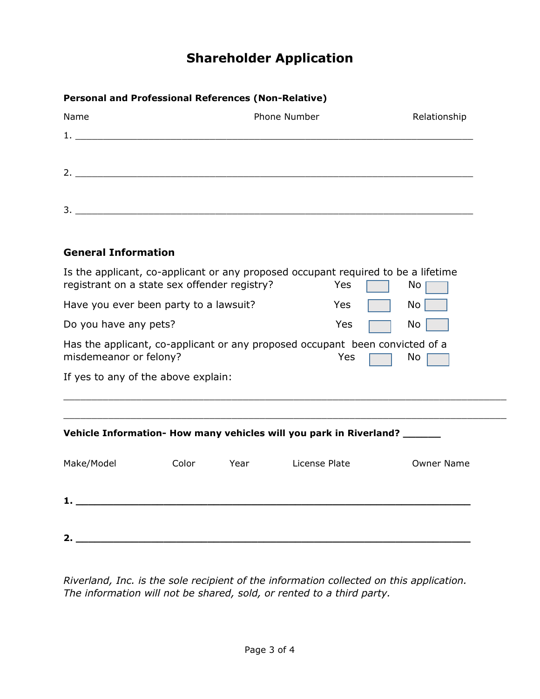## **Shareholder Application**

### **Personal and Professional References (Non-Relative)** Name **Number** Phone Number **Relationship** Phone Number Relationship

| . . <b>. .</b> | . <b>. . . .</b> | . <b>.</b> |
|----------------|------------------|------------|
| <b>1.</b>      |                  |            |
|                |                  |            |
|                |                  |            |
| 2.             |                  |            |
|                |                  |            |
| 3.             |                  |            |

### **General Information**

| Is the applicant, co-applicant or any proposed occupant required to be a lifetime<br>registrant on a state sex offender registry?<br>Yes<br>No. |       |      |                                                                                     |                   |  |
|-------------------------------------------------------------------------------------------------------------------------------------------------|-------|------|-------------------------------------------------------------------------------------|-------------------|--|
| Have you ever been party to a lawsuit?                                                                                                          |       | Yes  | No                                                                                  |                   |  |
| Do you have any pets?                                                                                                                           |       |      | Yes                                                                                 | No                |  |
| misdemeanor or felony?                                                                                                                          |       |      | Has the applicant, co-applicant or any proposed occupant been convicted of a<br>Yes | No                |  |
| If yes to any of the above explain:                                                                                                             |       |      |                                                                                     |                   |  |
|                                                                                                                                                 |       |      |                                                                                     |                   |  |
|                                                                                                                                                 |       |      | Vehicle Information- How many vehicles will you park in Riverland? ______           |                   |  |
| Make/Model                                                                                                                                      | Color | Year | License Plate                                                                       | <b>Owner Name</b> |  |
|                                                                                                                                                 |       |      |                                                                                     |                   |  |
| 2.                                                                                                                                              |       |      |                                                                                     |                   |  |

*Riverland, Inc. is the sole recipient of the information collected on this application. The information will not be shared, sold, or rented to a third party.*